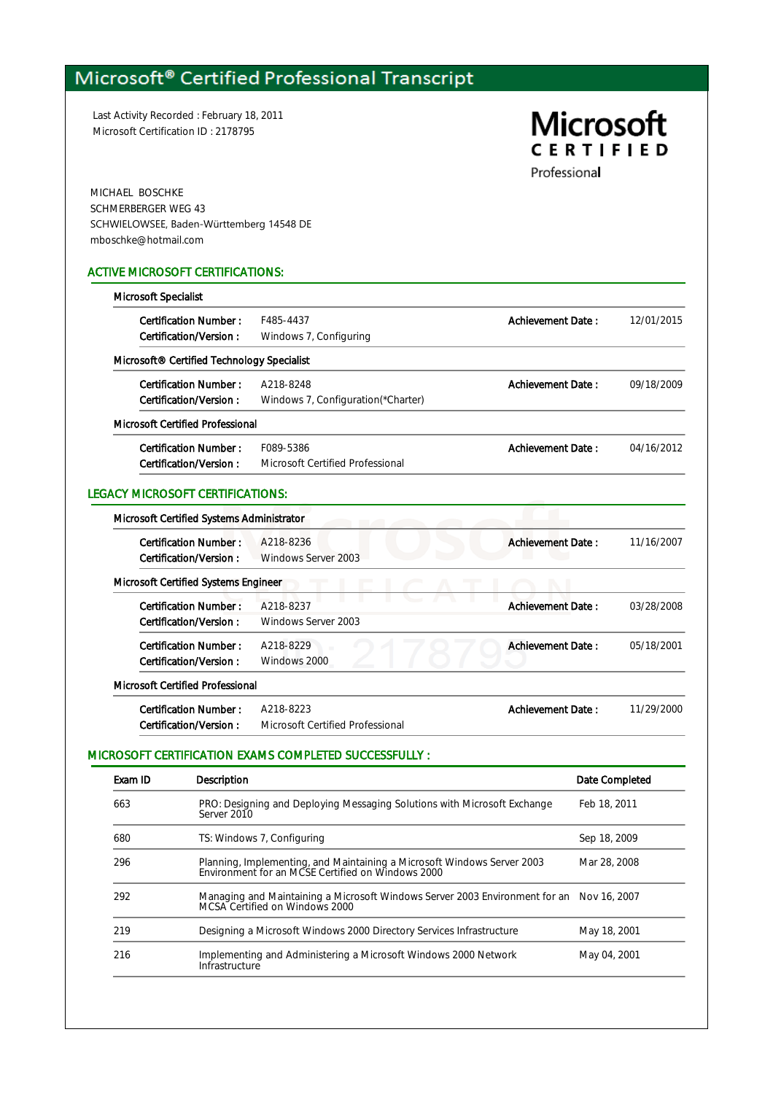## Microsoft® Certified Professional Transcript

Last Activity Recorded : February 18, 2011 Microsoft Certification ID : 2178795

# **Microsoft CERTIFIED**

Professional

MICHAEL BOSCHKE SCHMERBERGER WEG 43 SCHWIELOWSEE, Baden-Württemberg 14548 DE mboschke@hotmail.com

#### ACTIVE MICROSOFT CERTIFICATIONS:

| Microsoft Specialist                       |                                    |                          |            |
|--------------------------------------------|------------------------------------|--------------------------|------------|
| <b>Certification Number:</b>               | F485-4437                          | Achievement Date:        | 12/01/2015 |
| Certification/Version:                     | Windows 7, Configuring             |                          |            |
| Microsoft® Certified Technology Specialist |                                    |                          |            |
| <b>Certification Number:</b>               | A218-8248                          | Achievement Date:        | 09/18/2009 |
| Certification/Version:                     | Windows 7, Configuration(*Charter) |                          |            |
| <b>Microsoft Certified Professional</b>    |                                    |                          |            |
| <b>Certification Number:</b>               | F089-5386                          | <b>Achievement Date:</b> | 04/16/2012 |
| Certification/Version:                     | Microsoft Certified Professional   |                          |            |
| <b>Certification Number:</b>               | A218-8236                          | <b>Achievement Date:</b> | 11/16/2007 |
| Certification/Version:                     | Windows Server 2003                |                          |            |
| Microsoft Certified Systems Engineer       |                                    |                          |            |
| <b>Certification Number:</b>               | A218-8237                          | <b>Achievement Date:</b> | 03/28/2008 |
| Certification/Version:                     | Windows Server 2003                |                          |            |
| <b>Certification Number:</b>               | A218-8229                          | <b>Achievement Date:</b> | 05/18/2001 |
| Certification/Version:                     | Windows 2000                       |                          |            |
| <b>Microsoft Certified Professional</b>    |                                    |                          |            |
| <b>Certification Number:</b>               | A218-8223                          | <b>Achievement Date:</b> | 11/29/2000 |
| Certification/Version:                     | Microsoft Certified Professional   |                          |            |

### MICROSOFT CERTIFICATION EXAMS COMPLETED SUCCESSFULLY :

| Exam ID | Description                                                                                                                  | Date Completed |
|---------|------------------------------------------------------------------------------------------------------------------------------|----------------|
| 663     | PRO: Designing and Deploying Messaging Solutions with Microsoft Exchange<br>Server 2010                                      | Feb 18, 2011   |
| 680     | TS: Windows 7, Configuring                                                                                                   | Sep 18, 2009   |
| 296     | Planning, Implementing, and Maintaining a Microsoft Windows Server 2003<br>Environment for an MCSE Certified on Windows 2000 | Mar 28, 2008   |
| 292     | Managing and Maintaining a Microsoft Windows Server 2003 Environment for an Nov 16, 2007<br>MCSA Certified on Windows 2000   |                |
| 219     | Designing a Microsoft Windows 2000 Directory Services Infrastructure                                                         | May 18, 2001   |
| 216     | Implementing and Administering a Microsoft Windows 2000 Network<br>Infrastructure                                            | May 04, 2001   |